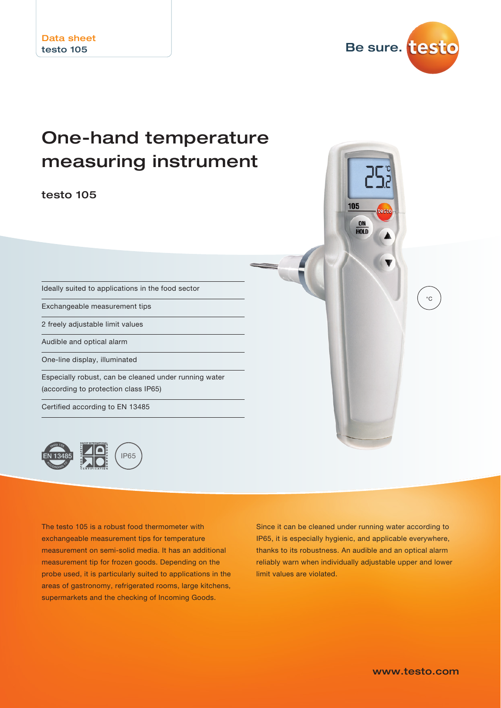

°C

# One-hand temperature measuring instrument

testo 105

Ideally suited to applications in the food sector

Exchangeable measurement tips

2 freely adjustable limit values

Audible and optical alarm

One-line display, illuminated

Especially robust, can be cleaned under running water (according to protection class IP65)

Certified according to EN 13485



The testo 105 is a robust food thermometer with exchangeable measurement tips for temperature measurement on semi-solid media. It has an additional measurement tip for frozen goods. Depending on the probe used, it is particularly suited to applications in the areas of gastronomy, refrigerated rooms, large kitchens, supermarkets and the checking of Incoming Goods.

Since it can be cleaned under running water according to IP65, it is especially hygienic, and applicable everywhere, thanks to its robustness. An audible and an optical alarm reliably warn when individually adjustable upper and lower limit values are violated.

105

ON **HOLD**